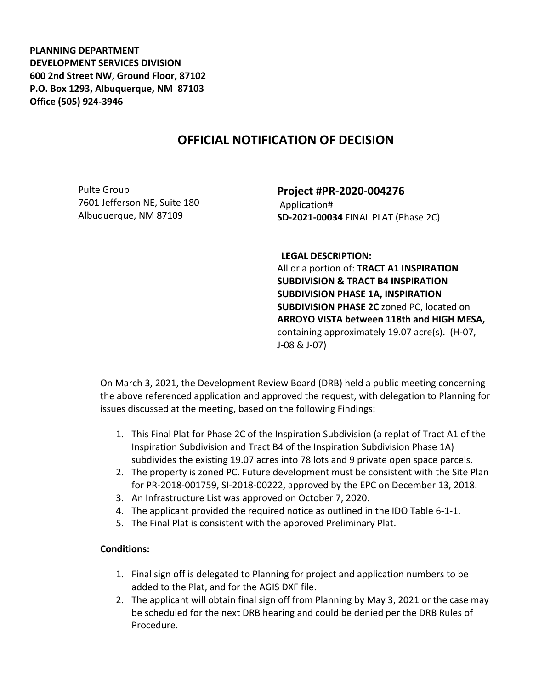**PLANNING DEPARTMENT DEVELOPMENT SERVICES DIVISION 600 2nd Street NW, Ground Floor, 87102 P.O. Box 1293, Albuquerque, NM 87103 Office (505) 924-3946** 

## **OFFICIAL NOTIFICATION OF DECISION**

Pulte Group 7601 Jefferson NE, Suite 180 Albuquerque, NM 87109

**Project #PR-2020-004276** Application# **SD-2021-00034** FINAL PLAT (Phase 2C)

**LEGAL DESCRIPTION:**

All or a portion of: **TRACT A1 INSPIRATION SUBDIVISION & TRACT B4 INSPIRATION SUBDIVISION PHASE 1A, INSPIRATION SUBDIVISION PHASE 2C** zoned PC, located on **ARROYO VISTA between 118th and HIGH MESA,**  containing approximately 19.07 acre(s). (H-07, J-08 & J-07)

On March 3, 2021, the Development Review Board (DRB) held a public meeting concerning the above referenced application and approved the request, with delegation to Planning for issues discussed at the meeting, based on the following Findings:

- 1. This Final Plat for Phase 2C of the Inspiration Subdivision (a replat of Tract A1 of the Inspiration Subdivision and Tract B4 of the Inspiration Subdivision Phase 1A) subdivides the existing 19.07 acres into 78 lots and 9 private open space parcels.
- 2. The property is zoned PC. Future development must be consistent with the Site Plan for PR-2018-001759, SI-2018-00222, approved by the EPC on December 13, 2018.
- 3. An Infrastructure List was approved on October 7, 2020.
- 4. The applicant provided the required notice as outlined in the IDO Table 6-1-1.
- 5. The Final Plat is consistent with the approved Preliminary Plat.

## **Conditions:**

- 1. Final sign off is delegated to Planning for project and application numbers to be added to the Plat, and for the AGIS DXF file.
- 2. The applicant will obtain final sign off from Planning by May 3, 2021 or the case may be scheduled for the next DRB hearing and could be denied per the DRB Rules of Procedure.